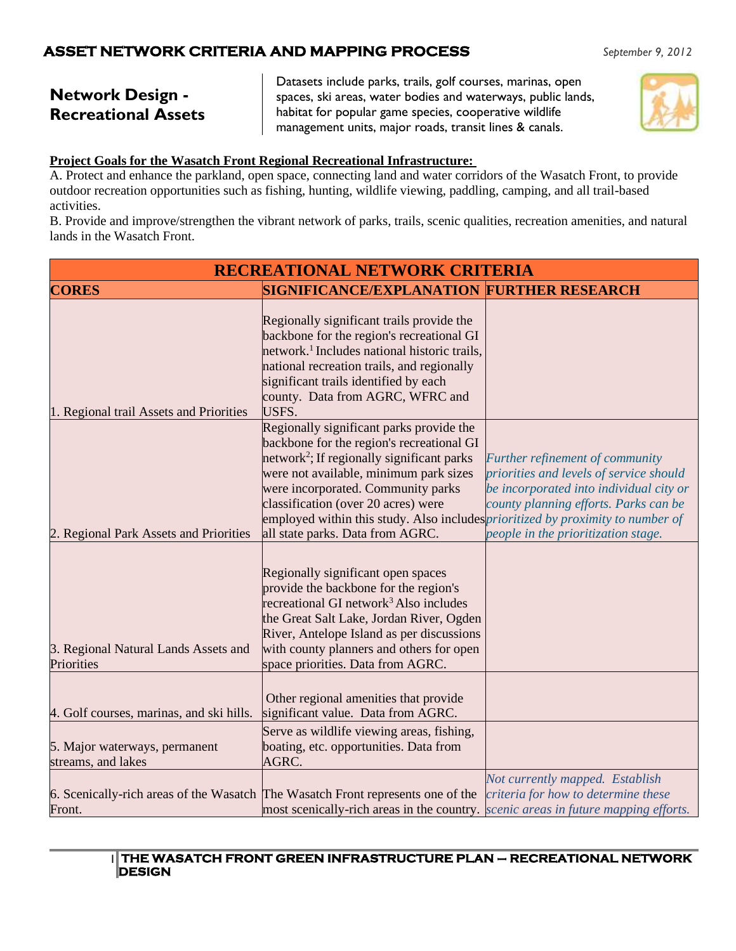# **Network Design - Recreational Assets**

Datasets include parks, trails, golf courses, marinas, open spaces, ski areas, water bodies and waterways, public lands, habitat for popular game species, cooperative wildlife management units, major roads, transit lines & canals.



### **Project Goals for the Wasatch Front Regional Recreational Infrastructure:**

A. Protect and enhance the parkland, open space, connecting land and water corridors of the Wasatch Front, to provide outdoor recreation opportunities such as fishing, hunting, wildlife viewing, paddling, camping, and all trail-based activities.

B. Provide and improve/strengthen the vibrant network of parks, trails, scenic qualities, recreation amenities, and natural lands in the Wasatch Front.

| <b>RECREATIONAL NETWORK CRITERIA</b>                |                                                                                                                                                                                                                                                                                                                                                                                                      |                                                                                                                                                                                                       |
|-----------------------------------------------------|------------------------------------------------------------------------------------------------------------------------------------------------------------------------------------------------------------------------------------------------------------------------------------------------------------------------------------------------------------------------------------------------------|-------------------------------------------------------------------------------------------------------------------------------------------------------------------------------------------------------|
| <b>CORES</b>                                        | <b>SIGNIFICANCE/EXPLANATION FURTHER RESEARCH</b>                                                                                                                                                                                                                                                                                                                                                     |                                                                                                                                                                                                       |
| 1. Regional trail Assets and Priorities             | Regionally significant trails provide the<br>backbone for the region's recreational GI<br>network. <sup>1</sup> Includes national historic trails,<br>national recreation trails, and regionally<br>significant trails identified by each<br>county. Data from AGRC, WFRC and<br>USFS.                                                                                                               |                                                                                                                                                                                                       |
| 2. Regional Park Assets and Priorities              | Regionally significant parks provide the<br>backbone for the region's recreational GI<br>network <sup>2</sup> ; If regionally significant parks<br>were not available, minimum park sizes<br>were incorporated. Community parks<br>classification (over 20 acres) were<br>employed within this study. Also includes <i>prioritized by proximity to number of</i><br>all state parks. Data from AGRC. | Further refinement of community<br>priorities and levels of service should<br>be incorporated into individual city or<br>county planning efforts. Parks can be<br>people in the prioritization stage. |
| 3. Regional Natural Lands Assets and<br>Priorities  | Regionally significant open spaces<br>provide the backbone for the region's<br>recreational GI network <sup>3</sup> Also includes<br>the Great Salt Lake, Jordan River, Ogden<br>River, Antelope Island as per discussions<br>with county planners and others for open<br>space priorities. Data from AGRC.                                                                                          |                                                                                                                                                                                                       |
| 4. Golf courses, marinas, and ski hills.            | Other regional amenities that provide<br>significant value. Data from AGRC.                                                                                                                                                                                                                                                                                                                          |                                                                                                                                                                                                       |
| 5. Major waterways, permanent<br>streams, and lakes | Serve as wildlife viewing areas, fishing,<br>boating, etc. opportunities. Data from<br>AGRC.                                                                                                                                                                                                                                                                                                         |                                                                                                                                                                                                       |
| Front.                                              | 6. Scenically-rich areas of the Wasatch The Wasatch Front represents one of the<br>most scenically-rich areas in the country. <i>scenic areas in future mapping efforts</i> .                                                                                                                                                                                                                        | Not currently mapped. Establish<br>criteria for how to determine these                                                                                                                                |

#### 1 **THE WASATCH FRONT GREEN INFRASTRUCTURE PLAN – RECREATIONAL NETWORK DESIGN**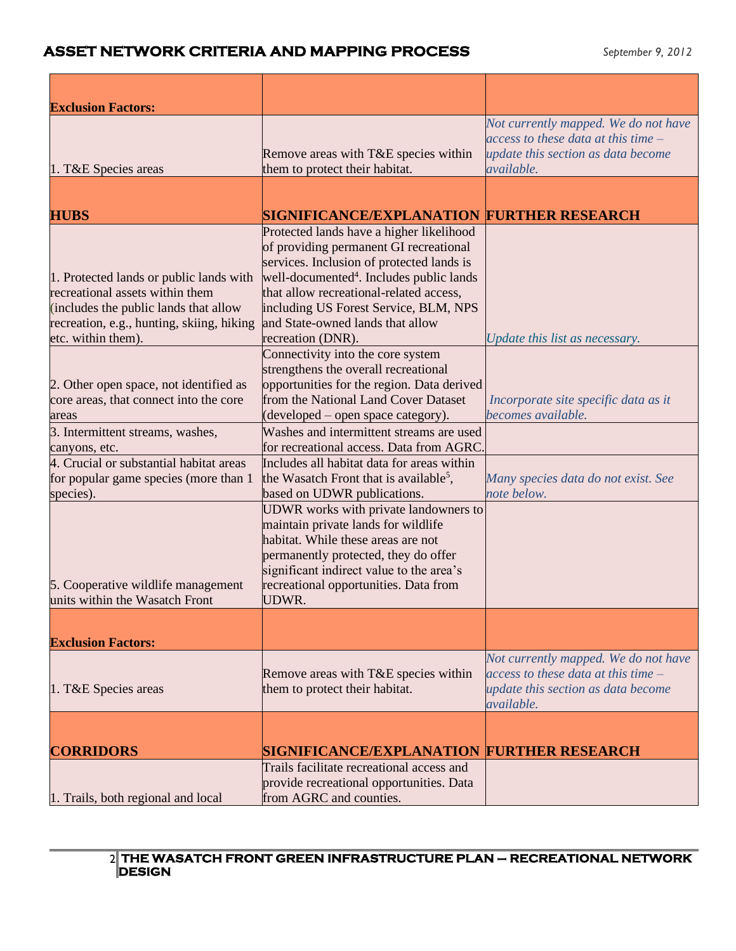| Remove areas with T&E species within<br>them to protect their habitat.                                                                                                                                                                                              | Not currently mapped. We do not have<br>access to these data at this time $-$<br>update this section as data become<br>available.                                                                                                                                                            |
|---------------------------------------------------------------------------------------------------------------------------------------------------------------------------------------------------------------------------------------------------------------------|----------------------------------------------------------------------------------------------------------------------------------------------------------------------------------------------------------------------------------------------------------------------------------------------|
|                                                                                                                                                                                                                                                                     |                                                                                                                                                                                                                                                                                              |
|                                                                                                                                                                                                                                                                     |                                                                                                                                                                                                                                                                                              |
|                                                                                                                                                                                                                                                                     |                                                                                                                                                                                                                                                                                              |
| of providing permanent GI recreational<br>services. Inclusion of protected lands is<br>well-documented <sup>4</sup> . Includes public lands<br>that allow recreational-related access,<br>including US Forest Service, BLM, NPS<br>and State-owned lands that allow | Update this list as necessary.                                                                                                                                                                                                                                                               |
| Connectivity into the core system                                                                                                                                                                                                                                   |                                                                                                                                                                                                                                                                                              |
| strengthens the overall recreational<br>from the National Land Cover Dataset<br>(developed – open space category).                                                                                                                                                  | Incorporate site specific data as it<br>becomes available.                                                                                                                                                                                                                                   |
| Washes and intermittent streams are used                                                                                                                                                                                                                            |                                                                                                                                                                                                                                                                                              |
| for recreational access. Data from AGRC                                                                                                                                                                                                                             |                                                                                                                                                                                                                                                                                              |
| the Wasatch Front that is available <sup>5</sup> ,<br>based on UDWR publications.                                                                                                                                                                                   | Many species data do not exist. See<br>note below.                                                                                                                                                                                                                                           |
| UDWR works with private landowners to<br>maintain private lands for wildlife<br>habitat. While these areas are not<br>permanently protected, they do offer<br>significant indirect value to the area's<br>recreational opportunities. Data from<br>UDWR.            |                                                                                                                                                                                                                                                                                              |
|                                                                                                                                                                                                                                                                     |                                                                                                                                                                                                                                                                                              |
|                                                                                                                                                                                                                                                                     |                                                                                                                                                                                                                                                                                              |
|                                                                                                                                                                                                                                                                     |                                                                                                                                                                                                                                                                                              |
| Remove areas with T&E species within<br>them to protect their habitat.                                                                                                                                                                                              | Not currently mapped. We do not have<br>access to these data at this time –<br>update this section as data become<br>available.                                                                                                                                                              |
|                                                                                                                                                                                                                                                                     |                                                                                                                                                                                                                                                                                              |
|                                                                                                                                                                                                                                                                     |                                                                                                                                                                                                                                                                                              |
| Trails facilitate recreational access and<br>provide recreational opportunities. Data                                                                                                                                                                               |                                                                                                                                                                                                                                                                                              |
|                                                                                                                                                                                                                                                                     | <b>SIGNIFICANCE/EXPLANATION FURTHER RESEARCH</b><br>Protected lands have a higher likelihood<br>recreation (DNR).<br>opportunities for the region. Data derived<br>Includes all habitat data for areas within<br><b>SIGNIFICANCE/EXPLANATION FURTHER RESEARCH</b><br>from AGRC and counties. |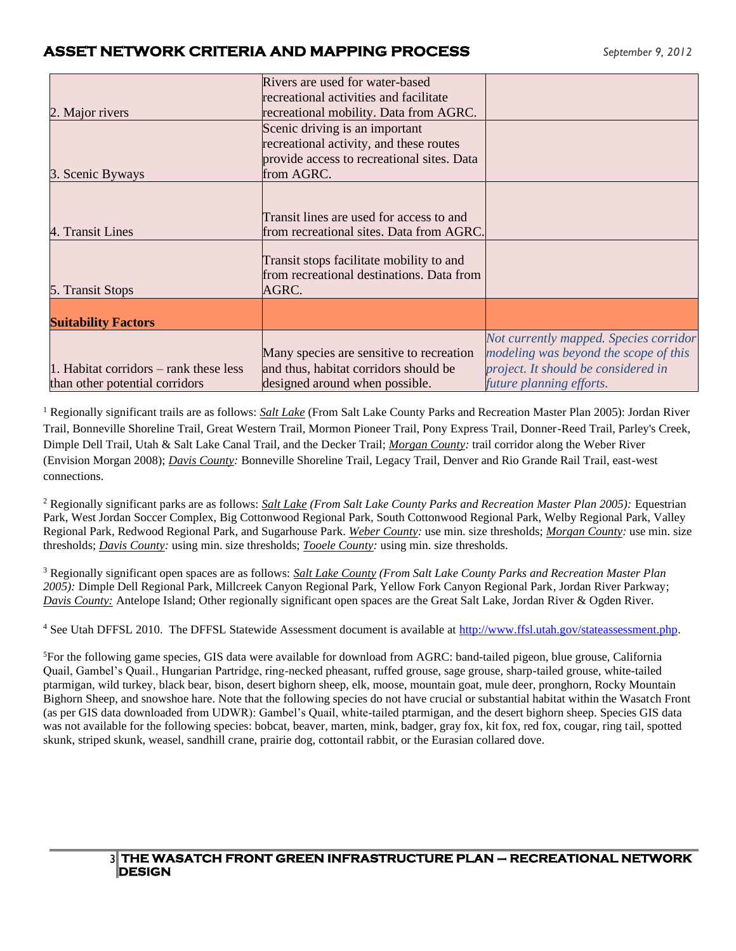|                                                                            | Rivers are used for water-based<br>recreational activities and facilitate                                                             |                                                                                                                                                    |
|----------------------------------------------------------------------------|---------------------------------------------------------------------------------------------------------------------------------------|----------------------------------------------------------------------------------------------------------------------------------------------------|
| 2. Major rivers                                                            | recreational mobility. Data from AGRC.                                                                                                |                                                                                                                                                    |
| 3. Scenic Byways                                                           | Scenic driving is an important<br>recreational activity, and these routes<br>provide access to recreational sites. Data<br>from AGRC. |                                                                                                                                                    |
| 4. Transit Lines                                                           | Transit lines are used for access to and<br>from recreational sites. Data from AGRC.                                                  |                                                                                                                                                    |
| 5. Transit Stops                                                           | Transit stops facilitate mobility to and<br>from recreational destinations. Data from<br>AGRC.                                        |                                                                                                                                                    |
| <b>Suitability Factors</b>                                                 |                                                                                                                                       |                                                                                                                                                    |
| 1. Habitat corridors $-$ rank these less<br>than other potential corridors | Many species are sensitive to recreation<br>and thus, habitat corridors should be<br>designed around when possible.                   | Not currently mapped. Species corridor<br>modeling was beyond the scope of this<br>project. It should be considered in<br>future planning efforts. |

<sup>1</sup> Regionally significant trails are as follows: *Salt Lake* (From Salt Lake County Parks and Recreation Master Plan 2005): Jordan River Trail, Bonneville Shoreline Trail, Great Western Trail, Mormon Pioneer Trail, Pony Express Trail, Donner-Reed Trail, Parley's Creek, Dimple Dell Trail, Utah & Salt Lake Canal Trail, and the Decker Trail; *Morgan County:* trail corridor along the Weber River (Envision Morgan 2008); *Davis County:* Bonneville Shoreline Trail, Legacy Trail, Denver and Rio Grande Rail Trail, east-west connections.

<sup>2</sup> Regionally significant parks are as follows: *Salt Lake (From Salt Lake County Parks and Recreation Master Plan 2005):* Equestrian Park, West Jordan Soccer Complex, Big Cottonwood Regional Park, South Cottonwood Regional Park, Welby Regional Park, Valley Regional Park, Redwood Regional Park, and Sugarhouse Park. *Weber County:* use min. size thresholds; *Morgan County:* use min. size thresholds; *Davis County:* using min. size thresholds; *Tooele County:* using min. size thresholds.

<sup>3</sup> Regionally significant open spaces are as follows: *Salt Lake County (From Salt Lake County Parks and Recreation Master Plan 2005):* Dimple Dell Regional Park, Millcreek Canyon Regional Park, Yellow Fork Canyon Regional Park, Jordan River Parkway; *Davis County:* Antelope Island; Other regionally significant open spaces are the Great Salt Lake, Jordan River & Ogden River.

<sup>4</sup> See Utah DFFSL 2010. The DFFSL Statewide Assessment document is available at [http://www.ffsl.utah.gov/stateassessment.php.](http://www.ffsl.utah.gov/stateassessment.php)

<sup>5</sup>For the following game species, GIS data were available for download from AGRC: band-tailed pigeon, blue grouse, California Quail, Gambel's Quail., Hungarian Partridge, ring-necked pheasant, ruffed grouse, sage grouse, sharp-tailed grouse, white-tailed ptarmigan, wild turkey, black bear, bison, desert bighorn sheep, elk, moose, mountain goat, mule deer, pronghorn, Rocky Mountain Bighorn Sheep, and snowshoe hare. Note that the following species do not have crucial or substantial habitat within the Wasatch Front (as per GIS data downloaded from UDWR): Gambel's Quail, white-tailed ptarmigan, and the desert bighorn sheep. Species GIS data was not available for the following species: bobcat, beaver, marten, mink, badger, gray fox, kit fox, red fox, cougar, ring tail, spotted skunk, striped skunk, weasel, sandhill crane, prairie dog, cottontail rabbit, or the Eurasian collared dove.

#### 3 **THE WASATCH FRONT GREEN INFRASTRUCTURE PLAN – RECREATIONAL NETWORK DESIGN**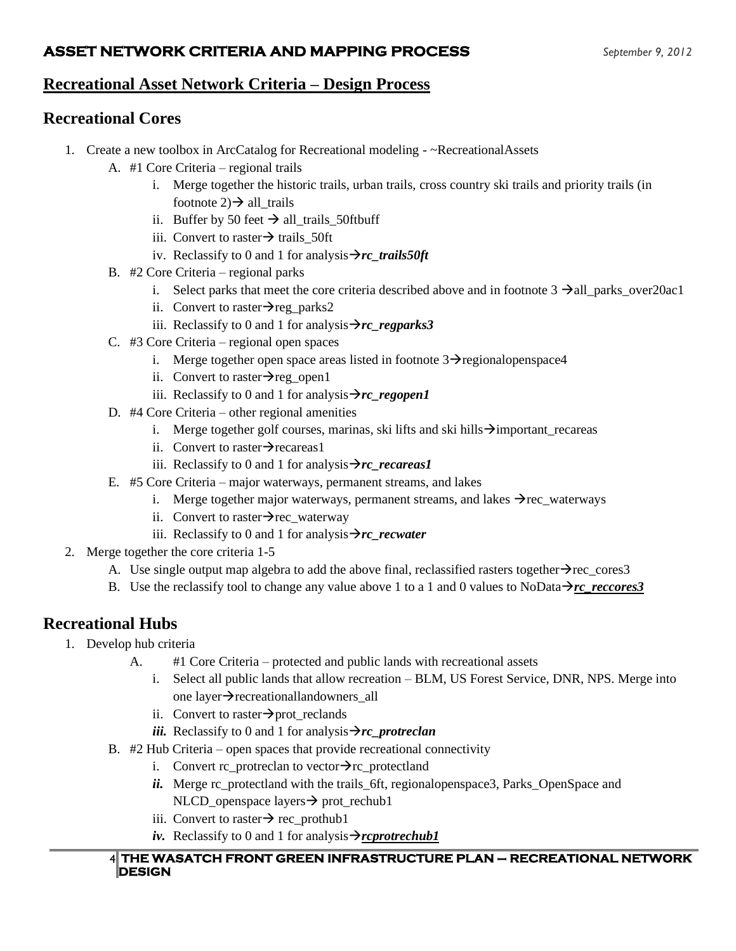## **Recreational Asset Network Criteria – Design Process**

## **Recreational Cores**

- 1. Create a new toolbox in ArcCatalog for Recreational modeling ~RecreationalAssets
	- A. #1 Core Criteria regional trails
		- i. Merge together the historic trails, urban trails, cross country ski trails and priority trails (in footnote  $2$ )  $\rightarrow$  all trails
		- ii. Buffer by 50 feet  $\rightarrow$  all trails 50ftbuff
		- iii. Convert to raster $→$  trails\_50ft
		- iv. Reclassify to 0 and 1 for analysis→*rc\_trails50ft*
	- B. #2 Core Criteria regional parks
		- i. Select parks that meet the core criteria described above and in footnote  $3 \rightarrow all\_parks\_over20ac1$
		- ii. Convert to raster $\rightarrow$ reg\_parks2
		- iii. Reclassify to 0 and 1 for analysis→*rc\_regparks3*
	- C. #3 Core Criteria regional open spaces
		- i. Merge together open space areas listed in footnote  $3\rightarrow$  regional openspace 4
		- ii. Convert to raster $\rightarrow$ reg\_open1
		- iii. Reclassify to 0 and 1 for analysis→*rc\_regopen1*
	- D. #4 Core Criteria other regional amenities
		- i. Merge together golf courses, marinas, ski lifts and ski hills→important\_recareas
		- ii. Convert to raster $\rightarrow$ recareas1
		- iii. Reclassify to 0 and 1 for analysis→*rc\_recareas1*
	- E. #5 Core Criteria major waterways, permanent streams, and lakes
		- i. Merge together major waterways, permanent streams, and lakes  $\rightarrow$ rec\_waterways
		- ii. Convert to raster $\rightarrow$ rec\_waterway
		- iii. Reclassify to 0 and 1 for analysis→*rc\_recwater*
- 2. Merge together the core criteria 1-5
	- A. Use single output map algebra to add the above final, reclassified rasters together $\rightarrow$ rec cores3
	- B. Use the reclassify tool to change any value above 1 to a 1 and 0 values to NoData $\rightarrow$ *rc\_reccores*3

## **Recreational Hubs**

- 1. Develop hub criteria
	- A. #1 Core Criteria protected and public lands with recreational assets
		- i. Select all public lands that allow recreation BLM, US Forest Service, DNR, NPS. Merge into one layer→recreationallandowners\_all
		- ii. Convert to raster $\rightarrow$ prot\_reclands
		- *iii.* Reclassify to 0 and 1 for analysis  $\rightarrow$ *rc* protreclan
	- B. #2 Hub Criteria open spaces that provide recreational connectivity
		- i. Convert rc\_protreclan to vector $\rightarrow$ rc\_protectland
		- *ii.* Merge rc\_protectland with the trails\_6ft, regionalopenspace3, Parks\_OpenSpace and NLCD\_openspace layers→ prot\_rechub1
		- iii. Convert to raster $\rightarrow$  rec\_prothub1
		- *iv.* Reclassify to 0 and 1 for analysis  $\rightarrow$ *rcprotrechub1*

#### 4 **THE WASATCH FRONT GREEN INFRASTRUCTURE PLAN – RECREATIONAL NETWORK DESIGN**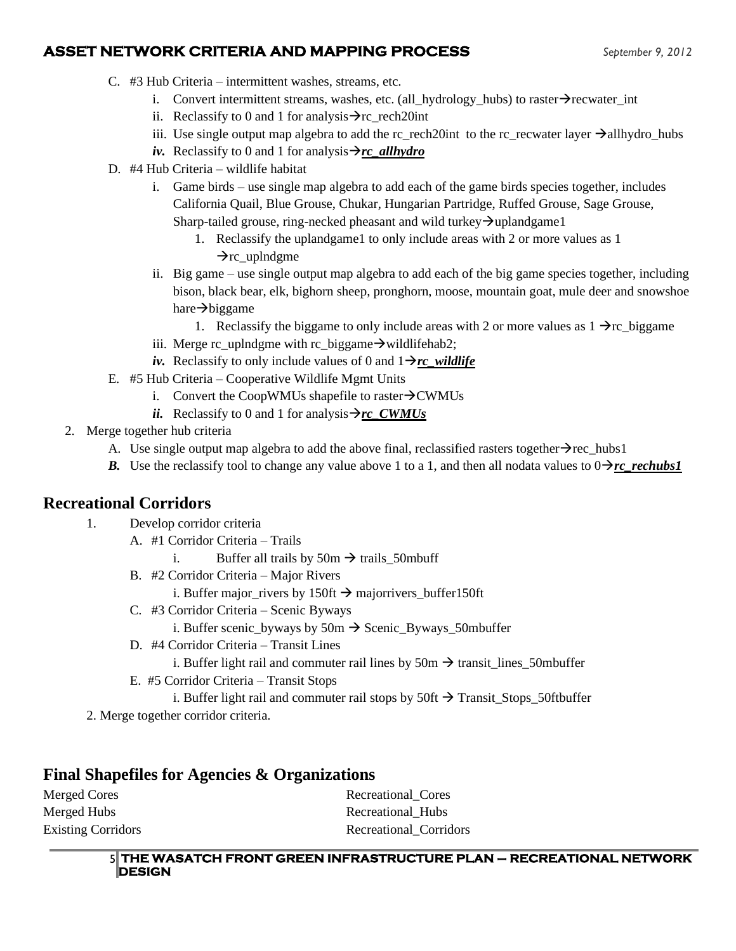- C. #3 Hub Criteria intermittent washes, streams, etc.
	- i. Convert intermittent streams, washes, etc. (all\_hydrology\_hubs) to raster→recwater\_int
	- ii. Reclassify to 0 and 1 for analysis $\rightarrow$ rc rech20int
	- iii. Use single output map algebra to add the rc\_rech20int to the rc\_recwater layer  $\rightarrow$ allhydro\_hubs
	- *iv.* Reclassify to 0 and 1 for analysis→*rc\_allhydro*
- D. #4 Hub Criteria wildlife habitat
	- i. Game birds use single map algebra to add each of the game birds species together, includes California Quail, Blue Grouse, Chukar, Hungarian Partridge, Ruffed Grouse, Sage Grouse, Sharp-tailed grouse, ring-necked pheasant and wild turkey→uplandgame1
		- 1. Reclassify the uplandgame1 to only include areas with 2 or more values as 1
			- $\rightarrow$ rc\_uplndgme
	- ii. Big game use single output map algebra to add each of the big game species together, including bison, black bear, elk, bighorn sheep, pronghorn, moose, mountain goat, mule deer and snowshoe hare→biggame
		- 1. Reclassify the biggame to only include areas with 2 or more values as  $1 \rightarrow r$  biggame
	- iii. Merge rc\_uplndgme with rc\_biggame $\rightarrow$  wildlifehab2;
	- *iv.* Reclassify to only include values of 0 and  $1 \rightarrow rc$  wildlife
- E. #5 Hub Criteria Cooperative Wildlife Mgmt Units
	- i. Convert the CoopWMUs shapefile to raster $\rightarrow$ CWMUs
	- *ii.* Reclassify to 0 and 1 for analysis  $\rightarrow$ *rc\_CWMUs*
- 2. Merge together hub criteria
	- A. Use single output map algebra to add the above final, reclassified rasters together→rec\_hubs1
	- *B.* Use the reclassify tool to change any value above 1 to a 1, and then all nodata values to  $0 \rightarrow rc$  *rechubs1*

## **Recreational Corridors**

- 1. Develop corridor criteria
	- A. #1 Corridor Criteria Trails
		- i. Buffer all trails by  $50m \rightarrow$  trails\_50mbuff
	- B. #2 Corridor Criteria Major Rivers
		- i. Buffer major\_rivers by 150ft  $\rightarrow$  majorrivers\_buffer150ft
	- C. #3 Corridor Criteria Scenic Byways
		- i. Buffer scenic\_byways by 50m  $\rightarrow$  Scenic\_Byways\_50mbuffer
	- D. #4 Corridor Criteria Transit Lines
		- i. Buffer light rail and commuter rail lines by  $50m \rightarrow$  transit lines 50mbuffer
	- E. #5 Corridor Criteria Transit Stops
	- i. Buffer light rail and commuter rail stops by  $50 \text{ft} \rightarrow \text{Transit\_Stops\_50}$ ftbuffer

2. Merge together corridor criteria.

## **Final Shapefiles for Agencies & Organizations**

Merged Cores Recreational Cores Merged Hubs **Recreational\_Hubs** Existing Corridors **Recreational** Corridors **Recreational** Corridors